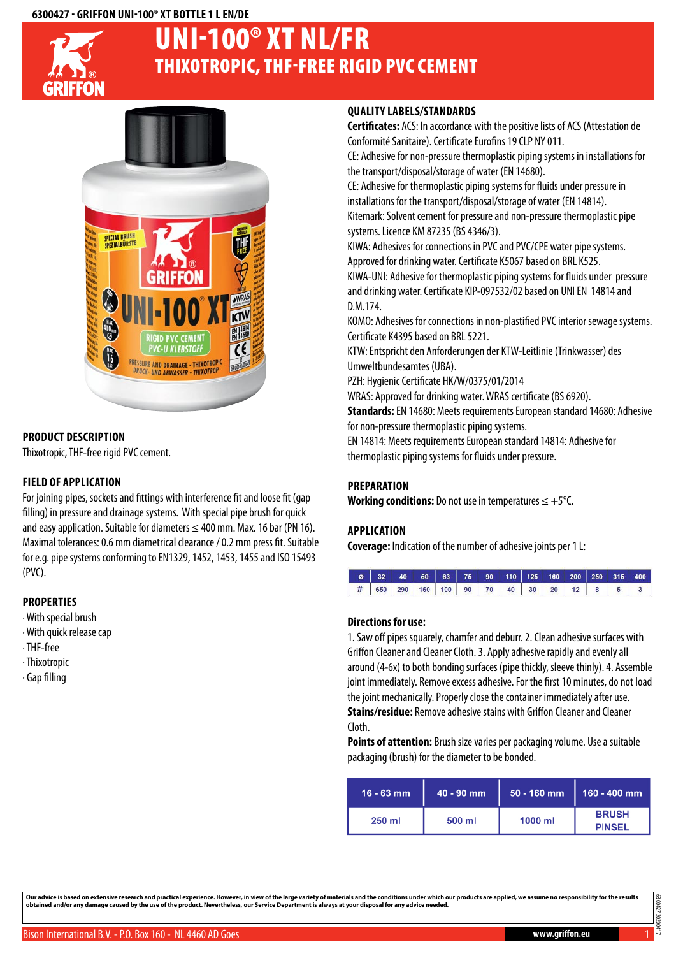#### **6300427 - Griffon UNI-100® XT Bottle 1 LEN/DE**



# Thixotropic, THF-free rigid PVC cement UNI-100® XT NL/FR



# **Product description**

Thixotropic, THF-free rigid PVC cement.

# **Field of application**

For joining pipes, sockets and fittings with interference fit and loose fit (gap filling) in pressure and drainage systems. With special pipe brush for quick and easy application. Suitable for diameters  $\leq 400$  mm. Max. 16 bar (PN 16). Maximal tolerances: 0.6 mm diametrical clearance / 0.2 mm press fit. Suitable for e.g. pipe systems conforming to EN1329, 1452, 1453, 1455 and ISO 15493 (PVC).

# **Properties**

- · With special brush
- · With quick release cap
- · THF-free
- · Thixotropic
- · Gap filling

# **Quality labels/Standards**

**Certificates:** ACS: In accordance with the positive lists of ACS (Attestation de Conformité Sanitaire). Certificate Eurofins 19 CLP NY 011.

CE: Adhesive for non-pressure thermoplastic piping systems in installations for the transport/disposal/storage of water (EN 14680).

CE: Adhesive for thermoplastic piping systems for fluids under pressure in installations for the transport/disposal/storage of water (EN 14814). Kitemark: Solvent cement for pressure and non-pressure thermoplastic pipe

systems. Licence KM 87235 (BS 4346/3).

KIWA: Adhesives for connections in PVC and PVC/CPE water pipe systems. Approved for drinking water. Certificate K5067 based on BRL K525.

KIWA-UNI: Adhesive for thermoplastic piping systems for fluids under pressure and drinking water. Certificate KIP-097532/02 based on UNI EN 14814 and D.M.174.

KOMO: Adhesives for connections in non-plastified PVC interior sewage systems. Certificate K4395 based on BRL 5221.

KTW: Entspricht den Anforderungen der KTW-Leitlinie (Trinkwasser) des Umweltbundesamtes (UBA).

PZH: Hygienic Certificate HK/W/0375/01/2014

WRAS: Approved for drinking water. WRAS certificate (BS 6920).

**Standards:** EN 14680: Meets requirements European standard 14680: Adhesive for non-pressure thermoplastic piping systems.

EN 14814: Meets requirements European standard 14814: Adhesive for thermoplastic piping systems for fluids under pressure.

# **Preparation**

**Working conditions:** Do not use in temperatures ≤ +5°C.

# **Application**

**Coverage:** Indication of the number of adhesive joints per 1 L:



#### **Directions for use:**

1. Saw off pipes squarely, chamfer and deburr. 2. Clean adhesive surfaces with Griffon Cleaner and Cleaner Cloth. 3. Apply adhesive rapidly and evenly all around (4-6x) to both bonding surfaces (pipe thickly, sleeve thinly). 4. Assemble joint immediately. Remove excess adhesive. For the first 10 minutes, do not load the joint mechanically. Properly close the container immediately after use. **Stains/residue:** Remove adhesive stains with Griffon Cleaner and Cleaner Cloth.

**Points of attention:** Brush size varies per packaging volume. Use a suitable packaging (brush) for the diameter to be bonded.

| $16 - 63$ mm | $40 - 90$ mm | $50 - 160$ mm | $160 - 400$ mm                |  |
|--------------|--------------|---------------|-------------------------------|--|
| 250 ml       | 500 ml       | $1000$ ml     | <b>BRUSH</b><br><b>PINSEL</b> |  |

Our advice is based on extensive research and practical experience. However, in view of the large variety of materials and the conditions under which our products are applied, we assume no responsibility for the results<br>ob